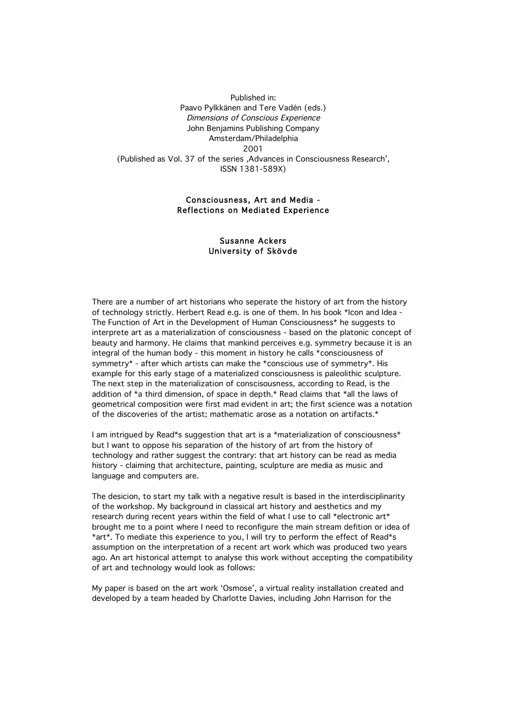Published in: Paavo Pylkkänen and Tere Vadén (eds.) Dimensions of Conscious Experience John Benjamins Publishing Company Amsterdam/Philadelphia 2001 (Published as Vol. 37 of the series , Advances in Consciousness Research', ISSN 1381-589X)

# Consciousness, Art and Media - Reflections on Mediated Experience

### Susanne Ackers University of Skövde

There are a number of art historians who seperate the history of art from the history of technology strictly. Herbert Read e.g. is one of them. In his book \*Icon and Idea - The Function of Art in the Development of Human Consciousness\* he suggests to interprete art as a materialization of consciousness - based on the platonic concept of beauty and harmony. He claims that mankind perceives e.g. symmetry because it is an integral of the human body - this moment in history he calls \*consciousness of symmetry\* - after which artists can make the \*conscious use of symmetry\*. His example for this early stage of a materialized consciousness is paleolithic sculpture. The next step in the materialization of conscisousness, according to Read, is the addition of \*a third dimension, of space in depth.\* Read claims that \*all the laws of geometrical composition were first mad evident in art; the first science was a notation of the discoveries of the artist; mathematic arose as a notation on artifacts.\*

I am intrigued by Read\*s suggestion that art is a \*materialization of consciousness\* but I want to oppose his separation of the history of art from the history of technology and rather suggest the contrary: that art history can be read as media history - claiming that architecture, painting, sculpture are media as music and language and computers are.

The desicion, to start my talk with a negative result is based in the interdisciplinarity of the workshop. My background in classical art history and aesthetics and my research during recent years within the field of what I use to call \*electronic art\* brought me to a point where I need to reconfigure the main stream defition or idea of \*art\*. To mediate this experience to you, I will try to perform the effect of Read\*s assumption on the interpretation of a recent art work which was produced two years ago. An art historical attempt to analyse this work without accepting the compatibility of art and technology would look as follows:

My paper is based on the art work 'Osmose', a virtual reality installation created and developed by a team headed by Charlotte Davies, including John Harrison for the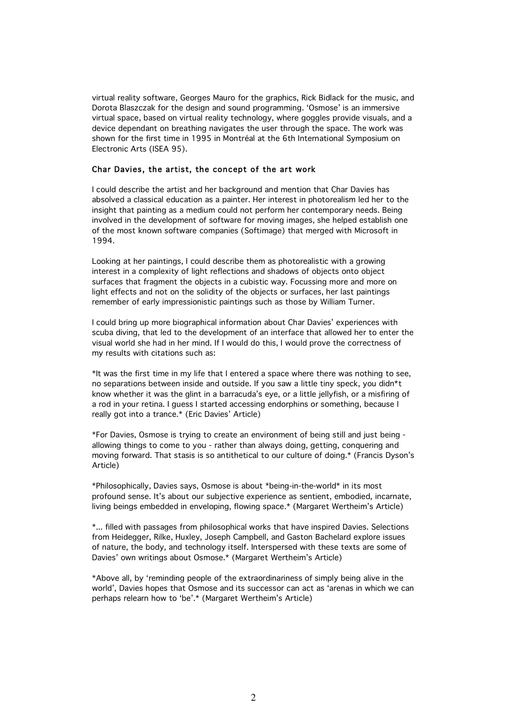virtual reality software, Georges Mauro for the graphics, Rick Bidlack for the music, and Dorota Blaszczak for the design and sound programming. 'Osmose' is an immersive virtual space, based on virtual reality technology, where goggles provide visuals, and a device dependant on breathing navigates the user through the space. The work was shown for the first time in 1995 in Montréal at the 6th International Symposium on Electronic Arts (ISEA 95).

#### Char Davies, the artist, the concept of the art work

I could describe the artist and her background and mention that Char Davies has absolved a classical education as a painter. Her interest in photorealism led her to the insight that painting as a medium could not perform her contemporary needs. Being involved in the development of software for moving images, she helped establish one of the most known software companies (Softimage) that merged with Microsoft in 1994.

Looking at her paintings, I could describe them as photorealistic with a growing interest in a complexity of light reflections and shadows of objects onto object surfaces that fragment the objects in a cubistic way. Focussing more and more on light effects and not on the solidity of the objects or surfaces, her last paintings remember of early impressionistic paintings such as those by William Turner.

I could bring up more biographical information about Char Davies' experiences with scuba diving, that led to the development of an interface that allowed her to enter the visual world she had in her mind. If I would do this, I would prove the correctness of my results with citations such as:

\*It was the first time in my life that I entered a space where there was nothing to see, no separations between inside and outside. If you saw a little tiny speck, you didn\*t know whether it was the glint in a barracuda's eye, or a little jellyfish, or a misfiring of a rod in your retina. I guess I started accessing endorphins or something, because I really got into a trance.\* (Eric Davies' Article)

\*For Davies, Osmose is trying to create an environment of being still and just being allowing things to come to you - rather than always doing, getting, conquering and moving forward. That stasis is so antithetical to our culture of doing.\* (Francis Dyson's Article)

\*Philosophically, Davies says, Osmose is about \*being-in-the-world\* in its most profound sense. It's about our subjective experience as sentient, embodied, incarnate, living beings embedded in enveloping, flowing space.\* (Margaret Wertheim's Article)

\*... filled with passages from philosophical works that have inspired Davies. Selections from Heidegger, Rilke, Huxley, Joseph Campbell, and Gaston Bachelard explore issues of nature, the body, and technology itself. Interspersed with these texts are some of Davies' own writings about Osmose.\* (Margaret Wertheim's Article)

\*Above all, by 'reminding people of the extraordinariness of simply being alive in the world', Davies hopes that Osmose and its successor can act as 'arenas in which we can perhaps relearn how to 'be'.\* (Margaret Wertheim's Article)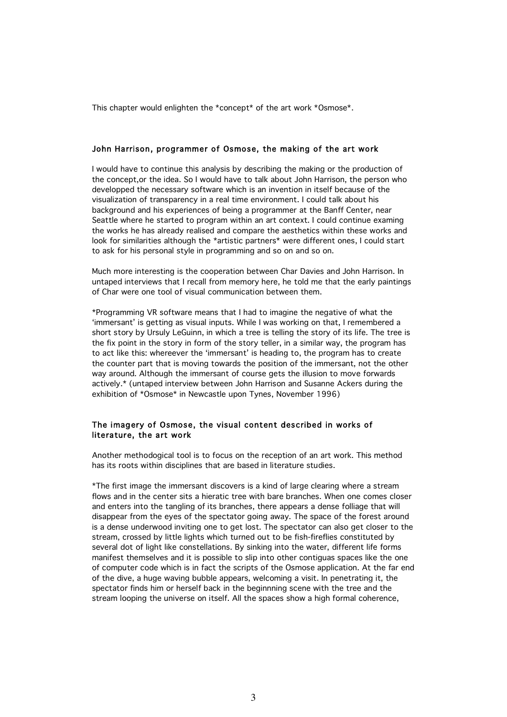This chapter would enlighten the \*concept\* of the art work \*Osmose\*.

#### John Harrison, programmer of Osmose, the making of the art work

I would have to continue this analysis by describing the making or the production of the concept,or the idea. So I would have to talk about John Harrison, the person who developped the necessary software which is an invention in itself because of the visualization of transparency in a real time environment. I could talk about his background and his experiences of being a programmer at the Banff Center, near Seattle where he started to program within an art context. I could continue examing the works he has already realised and compare the aesthetics within these works and look for similarities although the \*artistic partners\* were different ones. I could start to ask for his personal style in programming and so on and so on.

Much more interesting is the cooperation between Char Davies and John Harrison. In untaped interviews that I recall from memory here, he told me that the early paintings of Char were one tool of visual communication between them.

\*Programming VR software means that I had to imagine the negative of what the 'immersant' is getting as visual inputs. While I was working on that, I remembered a short story by Ursuly LeGuinn, in which a tree is telling the story of its life. The tree is the fix point in the story in form of the story teller, in a similar way, the program has to act like this: whereever the 'immersant' is heading to, the program has to create the counter part that is moving towards the position of the immersant, not the other way around. Although the immersant of course gets the illusion to move forwards actively.\* (untaped interview between John Harrison and Susanne Ackers during the exhibition of \*Osmose\* in Newcastle upon Tynes, November 1996)

# The imagery of Osmose, the visual content described in works of literature, the art work

Another methodogical tool is to focus on the reception of an art work. This method has its roots within disciplines that are based in literature studies.

\*The first image the immersant discovers is a kind of large clearing where a stream flows and in the center sits a hieratic tree with bare branches. When one comes closer and enters into the tangling of its branches, there appears a dense folliage that will disappear from the eyes of the spectator going away. The space of the forest around is a dense underwood inviting one to get lost. The spectator can also get closer to the stream, crossed by little lights which turned out to be fish-fireflies constituted by several dot of light like constellations. By sinking into the water, different life forms manifest themselves and it is possible to slip into other contiguas spaces like the one of computer code which is in fact the scripts of the Osmose application. At the far end of the dive, a huge waving bubble appears, welcoming a visit. In penetrating it, the spectator finds him or herself back in the beginnning scene with the tree and the stream looping the universe on itself. All the spaces show a high formal coherence,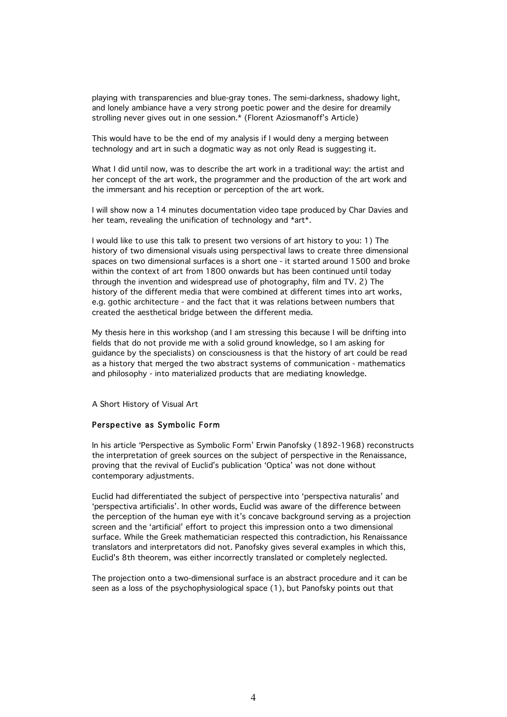playing with transparencies and blue-gray tones. The semi-darkness, shadowy light, and lonely ambiance have a very strong poetic power and the desire for dreamily strolling never gives out in one session.\* (Florent Aziosmanoff's Article)

This would have to be the end of my analysis if I would deny a merging between technology and art in such a dogmatic way as not only Read is suggesting it.

What I did until now, was to describe the art work in a traditional way: the artist and her concept of the art work, the programmer and the production of the art work and the immersant and his reception or perception of the art work.

I will show now a 14 minutes documentation video tape produced by Char Davies and her team, revealing the unification of technology and \*art\*.

I would like to use this talk to present two versions of art history to you: 1) The history of two dimensional visuals using perspectival laws to create three dimensional spaces on two dimensional surfaces is a short one - it started around 1500 and broke within the context of art from 1800 onwards but has been continued until today through the invention and widespread use of photography, film and TV. 2) The history of the different media that were combined at different times into art works, e.g. gothic architecture - and the fact that it was relations between numbers that created the aesthetical bridge between the different media.

My thesis here in this workshop (and I am stressing this because I will be drifting into fields that do not provide me with a solid ground knowledge, so I am asking for guidance by the specialists) on consciousness is that the history of art could be read as a history that merged the two abstract systems of communication - mathematics and philosophy - into materialized products that are mediating knowledge.

A Short History of Visual Art

### Perspective as Symbolic Form

In his article 'Perspective as Symbolic Form' Erwin Panofsky (1892-1968) reconstructs the interpretation of greek sources on the subject of perspective in the Renaissance, proving that the revival of Euclid's publication 'Optica' was not done without contemporary adjustments.

Euclid had differentiated the subject of perspective into 'perspectiva naturalis' and 'perspectiva artificialis'. In other words, Euclid was aware of the difference between the perception of the human eye with it's concave background serving as a projection screen and the 'artificial' effort to project this impression onto a two dimensional surface. While the Greek mathematician respected this contradiction, his Renaissance translators and interpretators did not. Panofsky gives several examples in which this, Euclid's 8th theorem, was either incorrectly translated or completely neglected.

The projection onto a two-dimensional surface is an abstract procedure and it can be seen as a loss of the psychophysiological space (1), but Panofsky points out that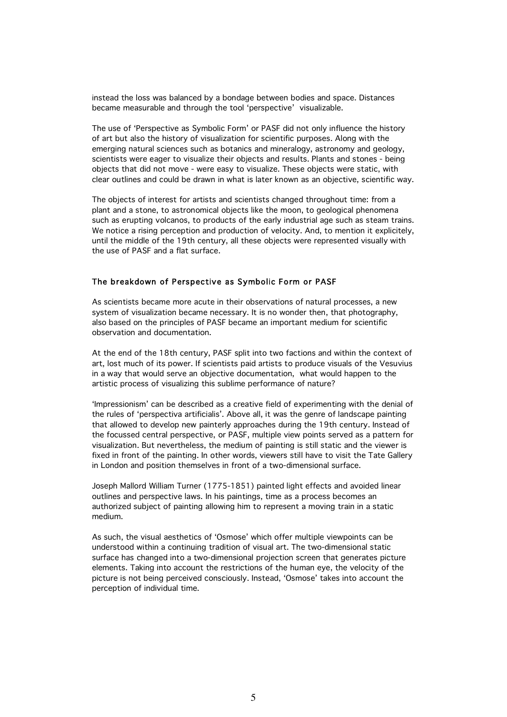instead the loss was balanced by a bondage between bodies and space. Distances became measurable and through the tool 'perspective' visualizable.

The use of 'Perspective as Symbolic Form' or PASF did not only influence the history of art but also the history of visualization for scientific purposes. Along with the emerging natural sciences such as botanics and mineralogy, astronomy and geology, scientists were eager to visualize their objects and results. Plants and stones - being objects that did not move - were easy to visualize. These objects were static, with clear outlines and could be drawn in what is later known as an objective, scientific way.

The objects of interest for artists and scientists changed throughout time: from a plant and a stone, to astronomical objects like the moon, to geological phenomena such as erupting volcanos, to products of the early industrial age such as steam trains. We notice a rising perception and production of velocity. And, to mention it explicitely, until the middle of the 19th century, all these objects were represented visually with the use of PASF and a flat surface.

### The breakdown of Perspective as Symbolic Form or PASF

As scientists became more acute in their observations of natural processes, a new system of visualization became necessary. It is no wonder then, that photography, also based on the principles of PASF became an important medium for scientific observation and documentation.

At the end of the 18th century, PASF split into two factions and within the context of art, lost much of its power. If scientists paid artists to produce visuals of the Vesuvius in a way that would serve an objective documentation, what would happen to the artistic process of visualizing this sublime performance of nature?

'Impressionism' can be described as a creative field of experimenting with the denial of the rules of 'perspectiva artificialis'. Above all, it was the genre of landscape painting that allowed to develop new painterly approaches during the 19th century. Instead of the focussed central perspective, or PASF, multiple view points served as a pattern for visualization. But nevertheless, the medium of painting is still static and the viewer is fixed in front of the painting. In other words, viewers still have to visit the Tate Gallery in London and position themselves in front of a two-dimensional surface.

Joseph Mallord William Turner (1775-1851) painted light effects and avoided linear outlines and perspective laws. In his paintings, time as a process becomes an authorized subject of painting allowing him to represent a moving train in a static medium.

As such, the visual aesthetics of 'Osmose' which offer multiple viewpoints can be understood within a continuing tradition of visual art. The two-dimensional static surface has changed into a two-dimensional projection screen that generates picture elements. Taking into account the restrictions of the human eye, the velocity of the picture is not being perceived consciously. Instead, 'Osmose' takes into account the perception of individual time.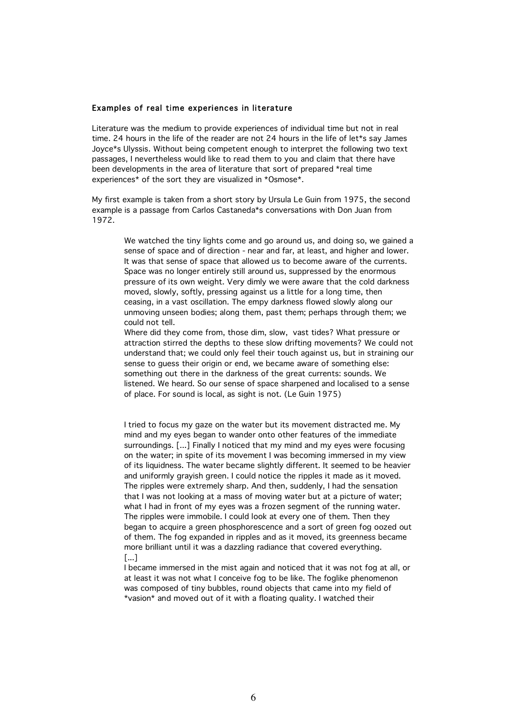## Examples of real time experiences in literature

Literature was the medium to provide experiences of individual time but not in real time. 24 hours in the life of the reader are not 24 hours in the life of let\*s say James Joyce\*s Ulyssis. Without being competent enough to interpret the following two text passages, I nevertheless would like to read them to you and claim that there have been developments in the area of literature that sort of prepared \*real time experiences\* of the sort they are visualized in \*Osmose\*.

My first example is taken from a short story by Ursula Le Guin from 1975, the second example is a passage from Carlos Castaneda\*s conversations with Don Juan from 1972.

We watched the tiny lights come and go around us, and doing so, we gained a sense of space and of direction - near and far, at least, and higher and lower. It was that sense of space that allowed us to become aware of the currents. Space was no longer entirely still around us, suppressed by the enormous pressure of its own weight. Very dimly we were aware that the cold darkness moved, slowly, softly, pressing against us a little for a long time, then ceasing, in a vast oscillation. The empy darkness flowed slowly along our unmoving unseen bodies; along them, past them; perhaps through them; we could not tell.

Where did they come from, those dim, slow, vast tides? What pressure or attraction stirred the depths to these slow drifting movements? We could not understand that; we could only feel their touch against us, but in straining our sense to guess their origin or end, we became aware of something else: something out there in the darkness of the great currents: sounds. We listened. We heard. So our sense of space sharpened and localised to a sense of place. For sound is local, as sight is not. (Le Guin 1975)

I tried to focus my gaze on the water but its movement distracted me. My mind and my eyes began to wander onto other features of the immediate surroundings. [...] Finally I noticed that my mind and my eyes were focusing on the water; in spite of its movement I was becoming immersed in my view of its liquidness. The water became slightly different. It seemed to be heavier and uniformly grayish green. I could notice the ripples it made as it moved. The ripples were extremely sharp. And then, suddenly, I had the sensation that I was not looking at a mass of moving water but at a picture of water; what I had in front of my eyes was a frozen segment of the running water. The ripples were immobile. I could look at every one of them. Then they began to acquire a green phosphorescence and a sort of green fog oozed out of them. The fog expanded in ripples and as it moved, its greenness became more brilliant until it was a dazzling radiance that covered everything. [...]

I became immersed in the mist again and noticed that it was not fog at all, or at least it was not what I conceive fog to be like. The foglike phenomenon was composed of tiny bubbles, round objects that came into my field of \*vasion\* and moved out of it with a floating quality. I watched their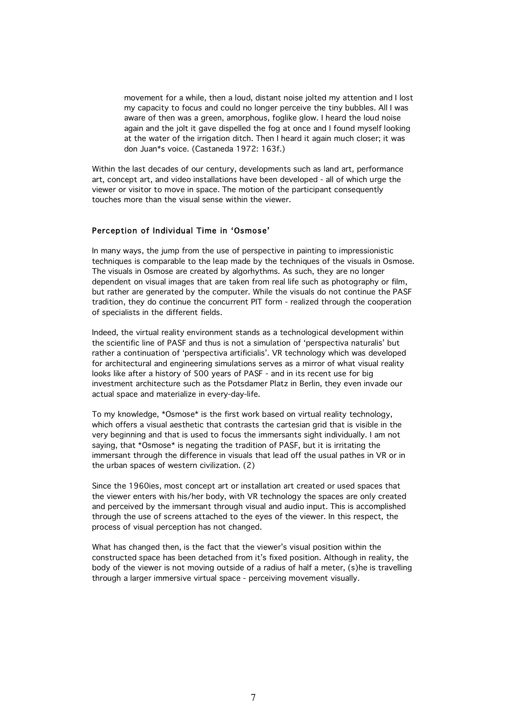movement for a while, then a loud, distant noise jolted my attention and I lost my capacity to focus and could no longer perceive the tiny bubbles. All I was aware of then was a green, amorphous, foglike glow. I heard the loud noise again and the jolt it gave dispelled the fog at once and I found myself looking at the water of the irrigation ditch. Then I heard it again much closer; it was don Juan\*s voice. (Castaneda 1972: 163f.)

Within the last decades of our century, developments such as land art, performance art, concept art, and video installations have been developed - all of which urge the viewer or visitor to move in space. The motion of the participant consequently touches more than the visual sense within the viewer.

# Perception of Individual Time in 'Osmose'

In many ways, the jump from the use of perspective in painting to impressionistic techniques is comparable to the leap made by the techniques of the visuals in Osmose. The visuals in Osmose are created by algorhythms. As such, they are no longer dependent on visual images that are taken from real life such as photography or film, but rather are generated by the computer. While the visuals do not continue the PASF tradition, they do continue the concurrent PIT form - realized through the cooperation of specialists in the different fields.

Indeed, the virtual reality environment stands as a technological development within the scientific line of PASF and thus is not a simulation of 'perspectiva naturalis' but rather a continuation of 'perspectiva artificialis'. VR technology which was developed for architectural and engineering simulations serves as a mirror of what visual reality looks like after a history of 500 years of PASF - and in its recent use for big investment architecture such as the Potsdamer Platz in Berlin, they even invade our actual space and materialize in every-day-life.

To my knowledge, \*Osmose\* is the first work based on virtual reality technology, which offers a visual aesthetic that contrasts the cartesian grid that is visible in the very beginning and that is used to focus the immersants sight individually. I am not saying, that \*Osmose\* is negating the tradition of PASF, but it is irritating the immersant through the difference in visuals that lead off the usual pathes in VR or in the urban spaces of western civilization. (2)

Since the 1960ies, most concept art or installation art created or used spaces that the viewer enters with his/her body, with VR technology the spaces are only created and perceived by the immersant through visual and audio input. This is accomplished through the use of screens attached to the eyes of the viewer. In this respect, the process of visual perception has not changed.

What has changed then, is the fact that the viewer's visual position within the constructed space has been detached from it's fixed position. Although in reality, the body of the viewer is not moving outside of a radius of half a meter, (s)he is travelling through a larger immersive virtual space - perceiving movement visually.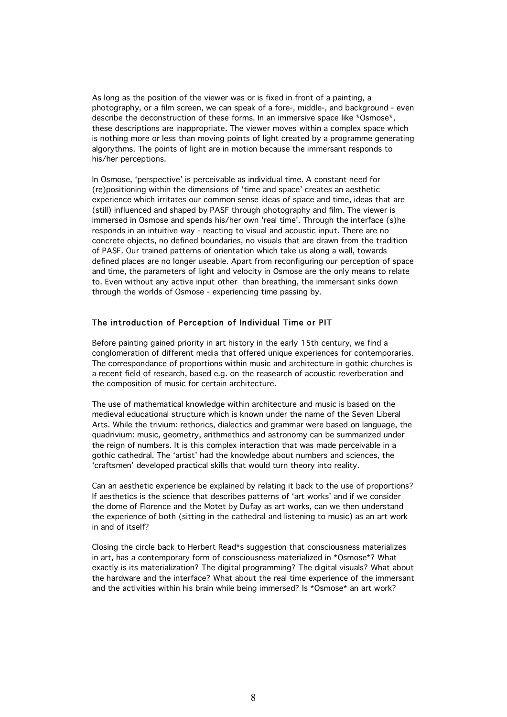As long as the position of the viewer was or is fixed in front of a painting, a photography, or a film screen, we can speak of a fore-, middle-, and background - even describe the deconstruction of these forms. In an immersive space like \*Osmose\*, these descriptions are inappropriate. The viewer moves within a complex space which is nothing more or less than moving points of light created by a programme generating algorythms. The points of light are in motion because the immersant responds to his/her perceptions.

In Osmose, 'perspective' is perceivable as individual time. A constant need for (re)positioning within the dimensions of 'time and space' creates an aesthetic experience which irritates our common sense ideas of space and time, ideas that are (still) influenced and shaped by PASF through photography and film. The viewer is immersed in Osmose and spends his/her own 'real time'. Through the interface (s)he responds in an intuitive way - reacting to visual and acoustic input. There are no concrete objects, no defined boundaries, no visuals that are drawn from the tradition of PASF. Our trained patterns of orientation which take us along a wall, towards defined places are no longer useable. Apart from reconfiguring our perception of space and time, the parameters of light and velocity in Osmose are the only means to relate to. Even without any active input other than breathing, the immersant sinks down through the worlds of Osmose - experiencing time passing by.

# The introduction of Perception of Individual Time or PIT

Before painting gained priority in art history in the early 15th century, we find a conglomeration of different media that offered unique experiences for contemporaries. The correspondance of proportions within music and architecture in gothic churches is a recent field of research, based e.g. on the reasearch of acoustic reverberation and the composition of music for certain architecture.

The use of mathematical knowledge within architecture and music is based on the medieval educational structure which is known under the name of the Seven Liberal Arts. While the trivium: rethorics, dialectics and grammar were based on language, the quadrivium: music, geometry, arithmethics and astronomy can be summarized under the reign of numbers. It is this complex interaction that was made perceivable in a gothic cathedral. The 'artist' had the knowledge about numbers and sciences, the 'craftsmen' developed practical skills that would turn theory into reality.

Can an aesthetic experience be explained by relating it back to the use of proportions? If aesthetics is the science that describes patterns of 'art works' and if we consider the dome of Florence and the Motet by Dufay as art works, can we then understand the experience of both (sitting in the cathedral and listening to music) as an art work in and of itself?

Closing the circle back to Herbert Read\*s suggestion that consciousness materializes in art, has a contemporary form of consciousness materialized in \*Osmose\*? What exactly is its materialization? The digital programming? The digital visuals? What about the hardware and the interface? What about the real time experience of the immersant and the activities within his brain while being immersed? Is \*Osmose\* an art work?